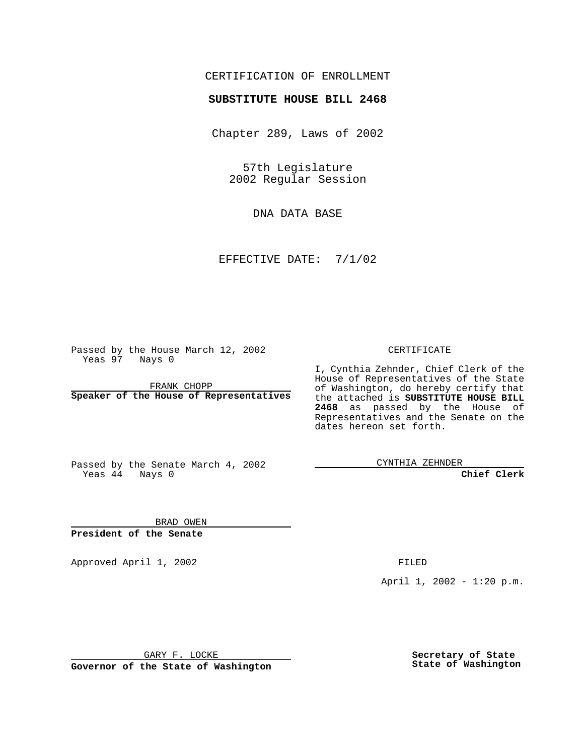#### CERTIFICATION OF ENROLLMENT

# **SUBSTITUTE HOUSE BILL 2468**

Chapter 289, Laws of 2002

57th Legislature 2002 Regular Session

DNA DATA BASE

EFFECTIVE DATE: 7/1/02

Passed by the House March 12, 2002 Yeas 97 Nays 0

FRANK CHOPP **Speaker of the House of Representatives** CERTIFICATE

I, Cynthia Zehnder, Chief Clerk of the House of Representatives of the State of Washington, do hereby certify that the attached is **SUBSTITUTE HOUSE BILL 2468** as passed by the House of Representatives and the Senate on the dates hereon set forth.

Passed by the Senate March 4, 2002 Yeas 44 Nays 0

CYNTHIA ZEHNDER

**Chief Clerk**

BRAD OWEN **President of the Senate**

Approved April 1, 2002 FILED

April 1, 2002 - 1:20 p.m.

GARY F. LOCKE

**Governor of the State of Washington**

**Secretary of State State of Washington**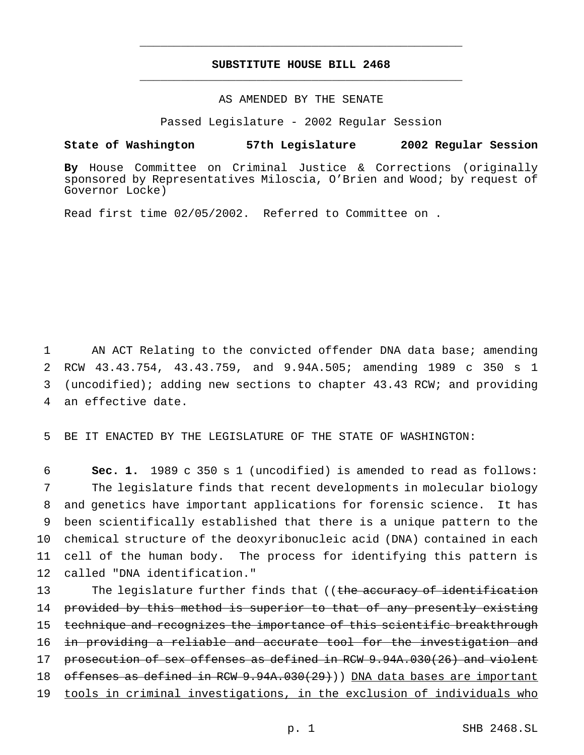### **SUBSTITUTE HOUSE BILL 2468** \_\_\_\_\_\_\_\_\_\_\_\_\_\_\_\_\_\_\_\_\_\_\_\_\_\_\_\_\_\_\_\_\_\_\_\_\_\_\_\_\_\_\_\_\_\_\_

\_\_\_\_\_\_\_\_\_\_\_\_\_\_\_\_\_\_\_\_\_\_\_\_\_\_\_\_\_\_\_\_\_\_\_\_\_\_\_\_\_\_\_\_\_\_\_

## AS AMENDED BY THE SENATE

Passed Legislature - 2002 Regular Session

#### **State of Washington 57th Legislature 2002 Regular Session**

**By** House Committee on Criminal Justice & Corrections (originally sponsored by Representatives Miloscia, O'Brien and Wood; by request of Governor Locke)

Read first time 02/05/2002. Referred to Committee on .

 AN ACT Relating to the convicted offender DNA data base; amending RCW 43.43.754, 43.43.759, and 9.94A.505; amending 1989 c 350 s 1 (uncodified); adding new sections to chapter 43.43 RCW; and providing an effective date.

5 BE IT ENACTED BY THE LEGISLATURE OF THE STATE OF WASHINGTON:

 **Sec. 1.** 1989 c 350 s 1 (uncodified) is amended to read as follows: The legislature finds that recent developments in molecular biology and genetics have important applications for forensic science. It has been scientifically established that there is a unique pattern to the chemical structure of the deoxyribonucleic acid (DNA) contained in each cell of the human body. The process for identifying this pattern is called "DNA identification."

13 The legislature further finds that ((the accuracy of identification 14 provided by this method is superior to that of any presently existing 15 technique and recognizes the importance of this scientific breakthrough 16 in providing a reliable and accurate tool for the investigation and 17 prosecution of sex offenses as defined in RCW 9.94A.030(26) and violent 18 offenses as defined in RCW 9.94A.030(29))) DNA data bases are important 19 tools in criminal investigations, in the exclusion of individuals who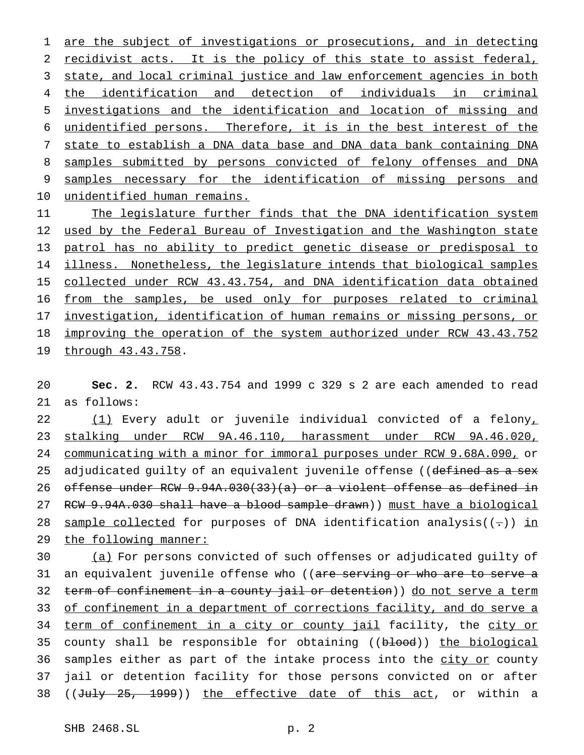1 are the subject of investigations or prosecutions, and in detecting recidivist acts. It is the policy of this state to assist federal, state, and local criminal justice and law enforcement agencies in both the identification and detection of individuals in criminal investigations and the identification and location of missing and unidentified persons. Therefore, it is in the best interest of the state to establish a DNA data base and DNA data bank containing DNA samples submitted by persons convicted of felony offenses and DNA samples necessary for the identification of missing persons and unidentified human remains.

 The legislature further finds that the DNA identification system used by the Federal Bureau of Investigation and the Washington state patrol has no ability to predict genetic disease or predisposal to 14 illness. Nonetheless, the legislature intends that biological samples collected under RCW 43.43.754, and DNA identification data obtained from the samples, be used only for purposes related to criminal investigation, identification of human remains or missing persons, or improving the operation of the system authorized under RCW 43.43.752 through 43.43.758.

 **Sec. 2.** RCW 43.43.754 and 1999 c 329 s 2 are each amended to read as follows:

 (1) Every adult or juvenile individual convicted of a felony, stalking under RCW 9A.46.110, harassment under RCW 9A.46.020, communicating with a minor for immoral purposes under RCW 9.68A.090, or 25 adjudicated guilty of an equivalent juvenile offense ((defined as a sex offense under RCW 9.94A.030(33)(a) or a violent offense as defined in RCW 9.94A.030 shall have a blood sample drawn)) must have a biological 28 sample collected for purposes of DNA identification analysis( $(-)$ ) in the following manner:

 (a) For persons convicted of such offenses or adjudicated guilty of 31 an equivalent juvenile offense who ((are serving or who are to serve a 32 term of confinement in a county jail or detention)) do not serve a term 33 of confinement in a department of corrections facility, and do serve a term of confinement in a city or county jail facility, the city or 35 county shall be responsible for obtaining ((blood)) the biological 36 samples either as part of the intake process into the city or county jail or detention facility for those persons convicted on or after 38 ((July 25, 1999)) the effective date of this act, or within a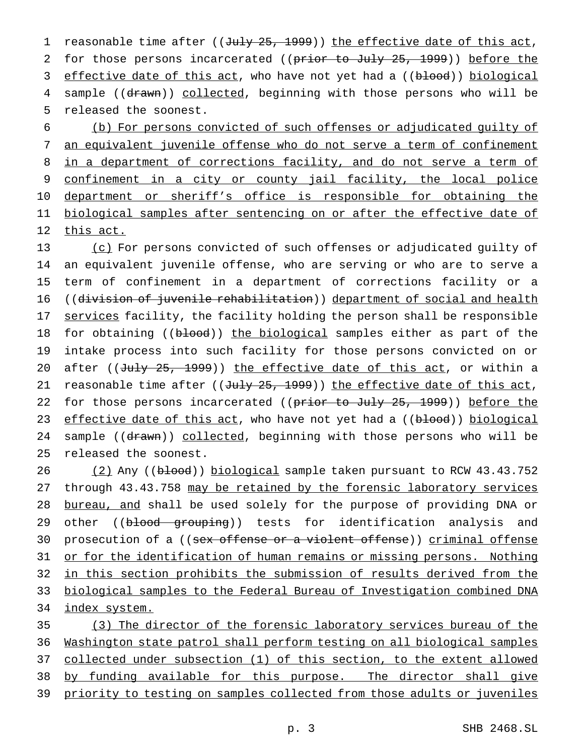1 reasonable time after ((July 25, 1999)) the effective date of this act, 2 for those persons incarcerated ((prior to July 25, 1999)) before the 3 effective date of this act, who have not yet had a ((blood)) biological 4 sample ((drawn)) collected, beginning with those persons who will be 5 released the soonest.

6 (b) For persons convicted of such offenses or adjudicated guilty of 7 an equivalent juvenile offense who do not serve a term of confinement 8 in a department of corrections facility, and do not serve a term of 9 confinement in a city or county jail facility, the local police 10 department or sheriff's office is responsible for obtaining the 11 biological samples after sentencing on or after the effective date of 12 this act.

13 (c) For persons convicted of such offenses or adjudicated guilty of 14 an equivalent juvenile offense, who are serving or who are to serve a 15 term of confinement in a department of corrections facility or a 16 ((division of juvenile rehabilitation)) department of social and health 17 services facility, the facility holding the person shall be responsible 18 for obtaining ((blood)) the biological samples either as part of the 19 intake process into such facility for those persons convicted on or 20 after ((July 25, 1999)) the effective date of this act, or within a 21 reasonable time after (( $Ju1y$  25, 1999)) the effective date of this act, 22 for those persons incarcerated ((prior to July 25, 1999)) before the 23 effective date of this act, who have not yet had a ((blood)) biological 24 sample ((drawn)) collected, beginning with those persons who will be 25 released the soonest.

26 (2) Any ((blood)) biological sample taken pursuant to RCW 43.43.752 27 through 43.43.758 may be retained by the forensic laboratory services 28 bureau, and shall be used solely for the purpose of providing DNA or 29 other ((blood grouping)) tests for identification analysis and 30 prosecution of a ((sex offense or a violent offense)) criminal offense 31 or for the identification of human remains or missing persons. Nothing 32 in this section prohibits the submission of results derived from the 33 biological samples to the Federal Bureau of Investigation combined DNA 34 index system.

 (3) The director of the forensic laboratory services bureau of the Washington state patrol shall perform testing on all biological samples collected under subsection (1) of this section, to the extent allowed by funding available for this purpose. The director shall give 39 priority to testing on samples collected from those adults or juveniles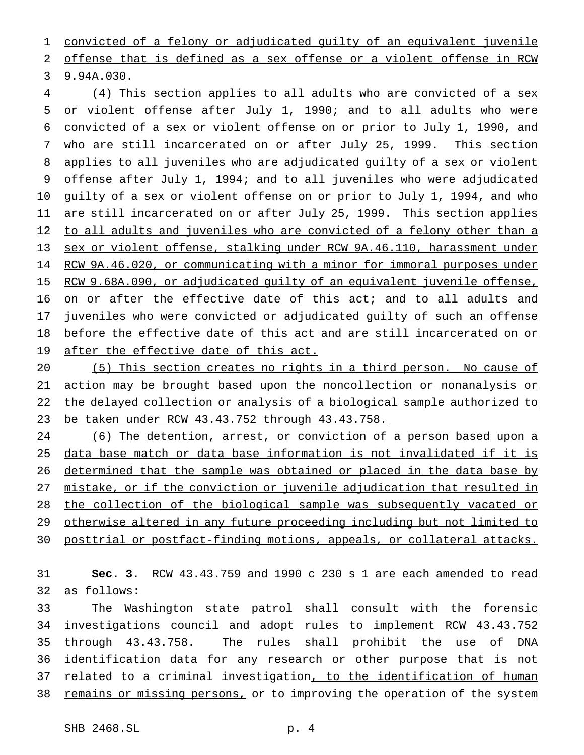convicted of a felony or adjudicated guilty of an equivalent juvenile

offense that is defined as a sex offense or a violent offense in RCW

9.94A.030.

4 (4) This section applies to all adults who are convicted of a sex or violent offense after July 1, 1990; and to all adults who were convicted of a sex or violent offense on or prior to July 1, 1990, and who are still incarcerated on or after July 25, 1999. This section 8 applies to all juveniles who are adjudicated guilty of a sex or violent offense after July 1, 1994; and to all juveniles who were adjudicated 10 guilty of a sex or violent offense on or prior to July 1, 1994, and who 11 are still incarcerated on or after July 25, 1999. This section applies 12 to all adults and juveniles who are convicted of a felony other than a sex or violent offense, stalking under RCW 9A.46.110, harassment under RCW 9A.46.020, or communicating with a minor for immoral purposes under 15 RCW 9.68A.090, or adjudicated guilty of an equivalent juvenile offense, 16 on or after the effective date of this act; and to all adults and juveniles who were convicted or adjudicated guilty of such an offense before the effective date of this act and are still incarcerated on or 19 after the effective date of this act.

 (5) This section creates no rights in a third person. No cause of action may be brought based upon the noncollection or nonanalysis or the delayed collection or analysis of a biological sample authorized to be taken under RCW 43.43.752 through 43.43.758.

 (6) The detention, arrest, or conviction of a person based upon a data base match or data base information is not invalidated if it is 26 determined that the sample was obtained or placed in the data base by mistake, or if the conviction or juvenile adjudication that resulted in the collection of the biological sample was subsequently vacated or otherwise altered in any future proceeding including but not limited to posttrial or postfact-finding motions, appeals, or collateral attacks.

 **Sec. 3.** RCW 43.43.759 and 1990 c 230 s 1 are each amended to read as follows:

33 The Washington state patrol shall consult with the forensic investigations council and adopt rules to implement RCW 43.43.752 through 43.43.758. The rules shall prohibit the use of DNA identification data for any research or other purpose that is not 37 related to a criminal investigation, to the identification of human 38 remains or missing persons, or to improving the operation of the system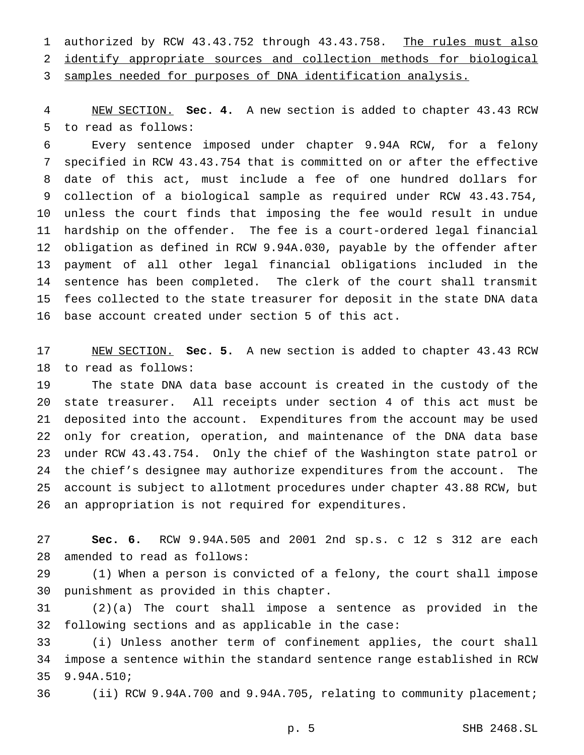1 authorized by RCW 43.43.752 through 43.43.758. The rules must also identify appropriate sources and collection methods for biological samples needed for purposes of DNA identification analysis.

 NEW SECTION. **Sec. 4.** A new section is added to chapter 43.43 RCW to read as follows:

 Every sentence imposed under chapter 9.94A RCW, for a felony specified in RCW 43.43.754 that is committed on or after the effective date of this act, must include a fee of one hundred dollars for collection of a biological sample as required under RCW 43.43.754, unless the court finds that imposing the fee would result in undue hardship on the offender. The fee is a court-ordered legal financial obligation as defined in RCW 9.94A.030, payable by the offender after payment of all other legal financial obligations included in the sentence has been completed. The clerk of the court shall transmit fees collected to the state treasurer for deposit in the state DNA data base account created under section 5 of this act.

 NEW SECTION. **Sec. 5.** A new section is added to chapter 43.43 RCW to read as follows:

 The state DNA data base account is created in the custody of the state treasurer. All receipts under section 4 of this act must be deposited into the account. Expenditures from the account may be used only for creation, operation, and maintenance of the DNA data base under RCW 43.43.754. Only the chief of the Washington state patrol or the chief's designee may authorize expenditures from the account. The account is subject to allotment procedures under chapter 43.88 RCW, but an appropriation is not required for expenditures.

 **Sec. 6.** RCW 9.94A.505 and 2001 2nd sp.s. c 12 s 312 are each amended to read as follows:

 (1) When a person is convicted of a felony, the court shall impose punishment as provided in this chapter.

 (2)(a) The court shall impose a sentence as provided in the following sections and as applicable in the case:

 (i) Unless another term of confinement applies, the court shall impose a sentence within the standard sentence range established in RCW 9.94A.510;

(ii) RCW 9.94A.700 and 9.94A.705, relating to community placement;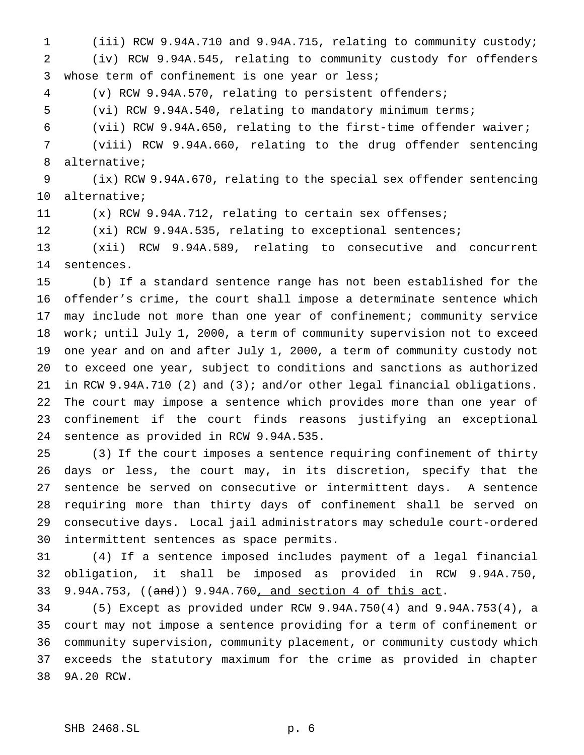(iii) RCW 9.94A.710 and 9.94A.715, relating to community custody; (iv) RCW 9.94A.545, relating to community custody for offenders whose term of confinement is one year or less;

(v) RCW 9.94A.570, relating to persistent offenders;

(vi) RCW 9.94A.540, relating to mandatory minimum terms;

(vii) RCW 9.94A.650, relating to the first-time offender waiver;

 (viii) RCW 9.94A.660, relating to the drug offender sentencing alternative;

 (ix) RCW 9.94A.670, relating to the special sex offender sentencing alternative;

(x) RCW 9.94A.712, relating to certain sex offenses;

12 (xi) RCW 9.94A.535, relating to exceptional sentences;

 (xii) RCW 9.94A.589, relating to consecutive and concurrent sentences.

 (b) If a standard sentence range has not been established for the offender's crime, the court shall impose a determinate sentence which may include not more than one year of confinement; community service work; until July 1, 2000, a term of community supervision not to exceed one year and on and after July 1, 2000, a term of community custody not to exceed one year, subject to conditions and sanctions as authorized in RCW 9.94A.710 (2) and (3); and/or other legal financial obligations. The court may impose a sentence which provides more than one year of confinement if the court finds reasons justifying an exceptional sentence as provided in RCW 9.94A.535.

 (3) If the court imposes a sentence requiring confinement of thirty days or less, the court may, in its discretion, specify that the sentence be served on consecutive or intermittent days. A sentence requiring more than thirty days of confinement shall be served on consecutive days. Local jail administrators may schedule court-ordered intermittent sentences as space permits.

 (4) If a sentence imposed includes payment of a legal financial obligation, it shall be imposed as provided in RCW 9.94A.750, 9.94A.753, ((and)) 9.94A.760, and section 4 of this act.

 (5) Except as provided under RCW 9.94A.750(4) and 9.94A.753(4), a court may not impose a sentence providing for a term of confinement or community supervision, community placement, or community custody which exceeds the statutory maximum for the crime as provided in chapter 9A.20 RCW.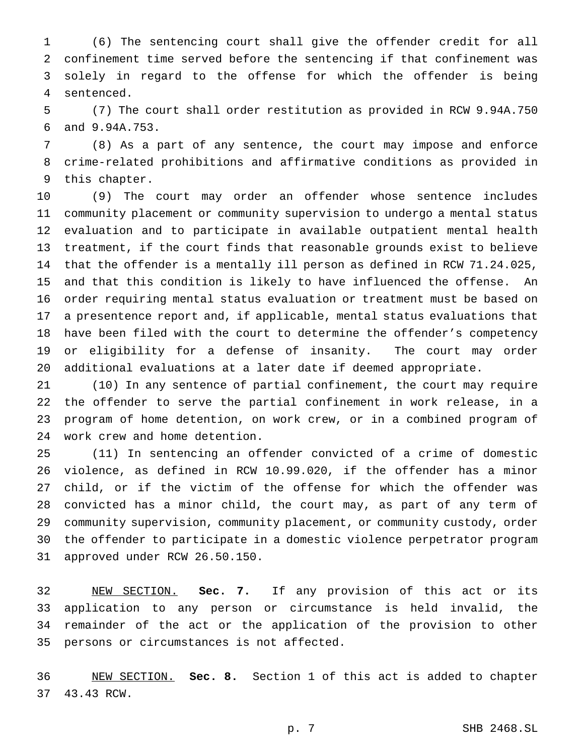(6) The sentencing court shall give the offender credit for all confinement time served before the sentencing if that confinement was solely in regard to the offense for which the offender is being sentenced.

 (7) The court shall order restitution as provided in RCW 9.94A.750 and 9.94A.753.

 (8) As a part of any sentence, the court may impose and enforce crime-related prohibitions and affirmative conditions as provided in this chapter.

 (9) The court may order an offender whose sentence includes community placement or community supervision to undergo a mental status evaluation and to participate in available outpatient mental health treatment, if the court finds that reasonable grounds exist to believe that the offender is a mentally ill person as defined in RCW 71.24.025, and that this condition is likely to have influenced the offense. An order requiring mental status evaluation or treatment must be based on a presentence report and, if applicable, mental status evaluations that have been filed with the court to determine the offender's competency or eligibility for a defense of insanity. The court may order additional evaluations at a later date if deemed appropriate.

 (10) In any sentence of partial confinement, the court may require the offender to serve the partial confinement in work release, in a program of home detention, on work crew, or in a combined program of work crew and home detention.

 (11) In sentencing an offender convicted of a crime of domestic violence, as defined in RCW 10.99.020, if the offender has a minor child, or if the victim of the offense for which the offender was convicted has a minor child, the court may, as part of any term of community supervision, community placement, or community custody, order the offender to participate in a domestic violence perpetrator program approved under RCW 26.50.150.

 NEW SECTION. **Sec. 7.** If any provision of this act or its application to any person or circumstance is held invalid, the remainder of the act or the application of the provision to other persons or circumstances is not affected.

 NEW SECTION. **Sec. 8.** Section 1 of this act is added to chapter 43.43 RCW.